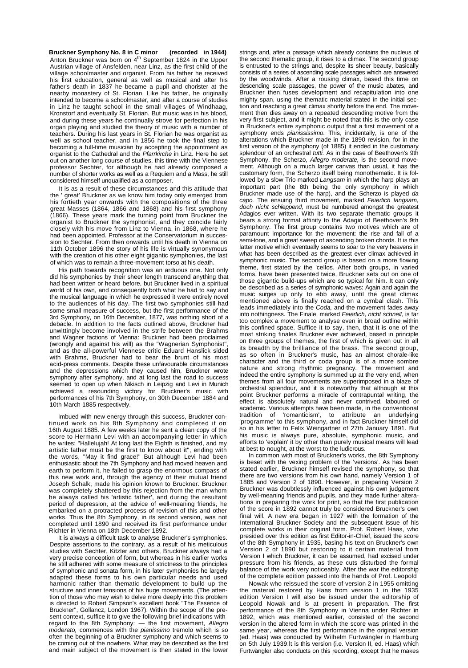**Bruckner Symphony No. 8 in C minor (recorded in 1944)** Anton Bruckner was born on 4<sup>th</sup> September 1824 in the Upper Austrian village of Ansfelden, near Linz, as the first child of the village schoolmaster and organist. From his father he received his first education, general as well as musical and after his father's death in 1837 he became a pupil and chorister at the nearby monastery of St. Florian. Like his father, he originally intended to become a schoolmaster, and after a course of studies in Linz he taught school in the small villages of Windhaag, Kronstorf and eventually St. Florian. But music was in his blood, and during these years he continually strove for perfection in his organ playing and studied the theory of music with a number of teachers. During his last years in St. Florian he was organist as well as school teacher, and in 1856 he took the final step to becoming a full-time musician by accepting the appointment as organist to the Cathedral and the *Pfarrkirche* in Linz. Here he set out on another long course of studies, this time with the Viennese professor Sechter, for although he had already composed a number of shorter works as well as a Requiem and a Mass, he still considered himself unqualified as a composer.

It is as a result of these circumstances and this attitude that the ' great' Bruckner as we know him today only emerged from his fortieth year onwards with the compositions of the three great Masses (1864, 1866 and 1868) and his first symphony (1866). These years mark the turning point from Bruckner the organist to Bruckner the symphonist, and they coincide fairly closely with his move from Linz to Vienna, in 1868, where he had been appointed. Professor at the Conservatorium in succession to Sechter. From then onwards until his death in Vienna on 11th October 1896 the story of his life is virtually synonymous with the creation of his other eight gigantic symphonies, the last of which was to remain a three-movement torso at his death.

His path towards recognition was an arduous one. Not only did his symphonies by their sheer length transcend anything that had been written or heard before, but Bruckner lived in a spiritual world of his own, and consequently both what he had to say and the musical language in which he expressed it were entirely novel to the audiences of his day. The first two symphonies still had some small measure of success, but the first performance of the 3rd Symphony, on 16th December, 1877, was nothing short of a debacle. In addition to the facts outlined above, Bruckner had unwittingly become involved in the strife between the Brahms and Wagner factions of Vienna: Bruckner had been proclaimed (wrongly and against his will) as the "Wagnerian Symphonist", and as the all-powerful Viennese critic Eduard Hanslick sided with Brahms, Bruckner had to bear the brunt of his most acid-press comments. Despite these unfavourable circumstances and the depressions which they caused him, Bruckner wrote symphony after symphony, and at long last the road to success seemed to open up when Nikisch in Leipzig and Levi in Munich achieved a resounding victory for Bruckner's music with performances of his 7th Symphony, on 30th December 1884 and 10th March 1885 respectively.

Imbued with new energy through this success, Bruckner continued work on his 8th Symphony and completed it on 16th August 1885. A few weeks later he sent a clean copy of the score to Hermann Levi with an accompanying letter in which he writes: "Hallelujah! At long last the Eighth is finished, and my artistic father must be the first to know about it", ending with the words, "May it find grace!" But although Levi had been enthusiastic about the 7th Symphony and had moved heaven and earth to perform it, he failed to grasp the enormous compass of this new work and, through the agency of their mutual friend Joseph Schalk, made his opinion known to Bruckner. Bruckner was completely shattered by this rejection from the man whom he always called his 'artistic father', and during the resultant period of depression, at the advice of well-meaning friends, he embarked on a protracted process of revision of this and other works. Thus the 8th Symphony, in its second version, was not completed until 1890 and received its first performance under Richter in Vienna on 18th December 1892.

It is always a difficult task to analyse Bruckner's symphonies. Despite assertions to the contrary, as a result of his meticulous studies with Sechter, Kitzler and others, Bruckner always had a very precise conception of form, but whereas in his earlier works he still adhered with some measure of strictness to the principles of symphonic and sonata form, in his later symphonies he largely adapted these forms to his own particular needs and used harmonic rather than thematic development to build up the structure and inner tensions of his huge movements. (The attention of those who may wish to delve more deeply into this problem is directed to Robert Simpson's excellent book "The Essence of Bruckner", Gollancz, London 1967). Within the scope of the present context, suffice it to give the following brief indications with regard to the 8th Symphony: — the first movement, *Allegro moderato,* commences with the *pianissimo* tremolo which is so often the beginning of a Bruckner symphony and which seems to be coming out of the nowhere. What may be described as the first and main subject of the movement is then stated in the lower

strings and, after a passage which already contains the nucleus of the second thematic group, it rises to a climax. The second group is entrusted to the strings and, despite its sheer beauty, basically consists of a series of ascending scale passages which are answered by the woodwinds. After a rousing climax, based this time on descending scale passages, the power of the music abates, and Bruckner then fuses development and recapitulation into one mighty span, using the thematic material stated in the initial section and reaching a great climax shortly before the end. The movement then dies away on a repeated descending motive from the very first subject, and it might be noted that this is the only case in Bruckner's entire symphonic output that a first movement of a symphony ends *pianississimo.* This, incidentally, is one of the alterations which Bruckner made in the 1890 revision, for in the first version of the symphony (of 1885) it ended in the customary splendour of an orchestral *tutti.* As in the case of Beethoven's 9th Symphony, the Scherzo, *Allegro moderate,* is the second movement. Although on a much larger canvas than usual, it has the customary form, the Scherzo itself being monothematic. It is followed by a slow Trio marked *Langsam* in which the harp plays an important part (the 8th being the only symphony in which Bruckner made use of the harp), and the Scherzo is played *da capo.* The ensuing third movement, marked *Feierlich langsam, doch nicht schleppend,* must be numbered amongst the greatest Adagios ever written. With its two separate thematic groups it bears a strong formal affinity to the Adagio of Beethoven's 9th Symphony. The first group contains two motives which are of paramount importance for the movement: the rise and fall of a semi-tone, and a great sweep of ascending broken chords. It is this latter motive which eventually seems to soar to the very heavens in what has been described as the greatest ever climax achieved in symphonic music. The second group is based on a more flowing theme, first stated by the 'cellos. After both groups, in varied forms, have been presented twice, Bruckner sets out on one of those gigantic build-ups which are so typical for him. It can only be described as a series of symphonic waves: Again and again the music surges up only to ebb away, until the great climax mentioned above is finally reached on a cymbal clash. This leads immediately into the *Coda,* and the movement fades away into nothingness. The Finale, marked *Feierlich, nicht schnell,* is far too complex a movement to analyse even in broad outline within this confined space. Suffice it to say, then, that it is one of the most striking finales Bruckner ever achieved, based in principle on three groups of themes, the first of which is given out in all its breadth by the brilliance of the brass. The second group, as so often in Bruckner's music, has an almost chorale-like character and the third or coda group is of a more sombre nature and strong rhythmic pregnancy. The movement and indeed the entire symphony is summed up at the very end, when themes from all four movements are superimposed in a blaze of orchestral splendour, and it is noteworthy that although at this point Bruckner performs a miracle of contrapuntal writing, the effect is absolutely natural and never contrived, laboured or academic. Various attempts have been made, in the conventional tradition of 'romanticism', to attribute an underlying 'programme' to this symphony, and in fact Bruckner himself did so in his letter to Felix Weingartner of 27th January 1891. But his music is always pure, absolute, symphonic music, and efforts to 'explain' it by other than purely musical means will lead at best to nought, at the worst to the ludicrous.

In common with most of Bruckner's works, the 8th Symphony is beset with the vexing problem of the 'versions'. As has been stated earlier, Bruckner himself revised the symphony, so that there are two versions from his own hand, namely Version 1 of 1885 and Version 2 of 1890. However, in preparing Version 2 Bruckner was doubtlessly influenced against his own judgement by well-meaning friends and pupils, and they made further alterations in preparing the work for print, so that the first publication of the score in 1892 cannot truly be considered Bruckner's own final will. A new era began in 1927 with the formation of the International Bruckner Society and the subsequent issue of his complete works in their original form. Prof. Robert Haas, who presided over this edition as first Editor-in-Chief, issued the score of the 8th Symphony in 1935, basing his text on Bruckner's own Version 2 of 1890 but restoring to it certain material from Version I which Bruckner, it can be assumed, had excised under pressure from his friends, as these cuts disturbed the formal balance of the work very noticeably. After the war the editorship of the complete edition passed into the hands of Prof. Leopold

Nowak who reissued the score of version 2 in 1955 omitting the material restored by Haas from version 1 in the 1935 edition Version I will also be issued under the editorship of Leopold Nowak and is at present in preparation. The first performance of the 8th Symphony in Vienna under Richter in 1892, which was mentioned earlier, consisted of the second version in the altered form in which the score was printed in the same year, whereas the first performance in the original version (ed. Haas) was conducted by Wilhelm Furtwängler in Hamburg on 5th July 1939.lt is this version (i.e. Version II, ed. Haas) which Furtwängler also conducts on this recording, except that he makes